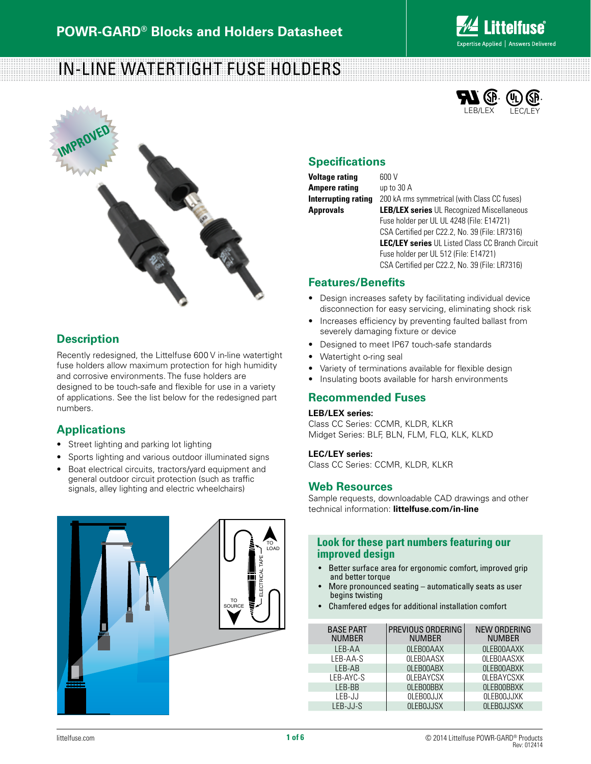

# In-Line Watertight Fuse Holders



### **Description**

Recently redesigned, the Littelfuse 600 V in-line watertight fuse holders allow maximum protection for high humidity and corrosive environments. The fuse holders are designed to be touch-safe and flexible for use in a variety of applications. See the list below for the redesigned part numbers.

### **Applications**

- • Street lighting and parking lot lighting
- • Sports lighting and various outdoor illuminated signs
- Boat electrical circuits, tractors/yard equipment and general outdoor circuit protection (such as traffic signals, alley lighting and electric wheelchairs)





### **Specifications**

**Voltage rating** 600 V **Ampere rating** up to 30 A

**Interrupting rating** 200 kA rms symmetrical (with Class CC fuses) **Approvals LEB/LEX series** UL Recognized Miscellaneous Fuse holder per UL UL 4248 (File: E14721) CSA Certified per C22.2, No. 39 (File: LR7316) **LEC/LEY series** UL Listed Class CC Branch Circuit Fuse holder per UL 512 (File: E14721) CSA Certified per C22.2, No. 39 (File: LR7316)

### **Features/Benefits**

- Design increases safety by facilitating individual device disconnection for easy servicing, eliminating shock risk
- Increases efficiency by preventing faulted ballast from severely damaging fixture or device
- Designed to meet IP67 touch-safe standards
- Watertight o-ring seal
- Variety of terminations available for flexible design
- Insulating boots available for harsh environments

### **Recommended Fuses**

#### **LEB/LEX series:**

Class CC Series: CCMR, KLDR, KLKR Midget Series: BLF, BLN, FLM, FLQ, KLK, KLKD

#### **LEC/LEY series:**

Class CC Series: CCMR, KLDR, KLKR

### **Web Resources**

Sample requests, downloadable CAD drawings and other technical information: **littelfuse.com/in-line**

### **Look for these part numbers featuring our improved design**

- • Better surface area for ergonomic comfort, improved grip and better torque
- More pronounced seating  $-$  automatically seats as user begins twisting
- Chamfered edges for additional installation comfort

| <b>BASE PART</b><br><b>NUMBER</b> | PREVIOUS ORDERING<br><b>NUMBER</b> | <b>NEW ORDERING</b><br><b>NUMBER</b> |
|-----------------------------------|------------------------------------|--------------------------------------|
| LEB-AA                            | OLEBOOAAX                          | <b>OLEBOOAAXK</b>                    |
| LEB-AA-S                          | <b>OLEBOAASX</b>                   | <b>OLEBOAASXK</b>                    |
| LEB-AB                            | OLEBOOABX                          | <b>OLEBOOABXK</b>                    |
| LEB-AYC-S                         | <b>OLEBAYCSX</b>                   | <b>OLEBAYCSXK</b>                    |
| LEB-BB                            | OLEBOOBBX                          | <b>OLEBOOBBXK</b>                    |
| LEB-JJ                            | <b>OLEBOOJJX</b>                   | <b>OLEBOOJJXK</b>                    |
| LEB-JJ-S                          | <b>OLEBOJJSX</b>                   | <b>OLEBOJJSXK</b>                    |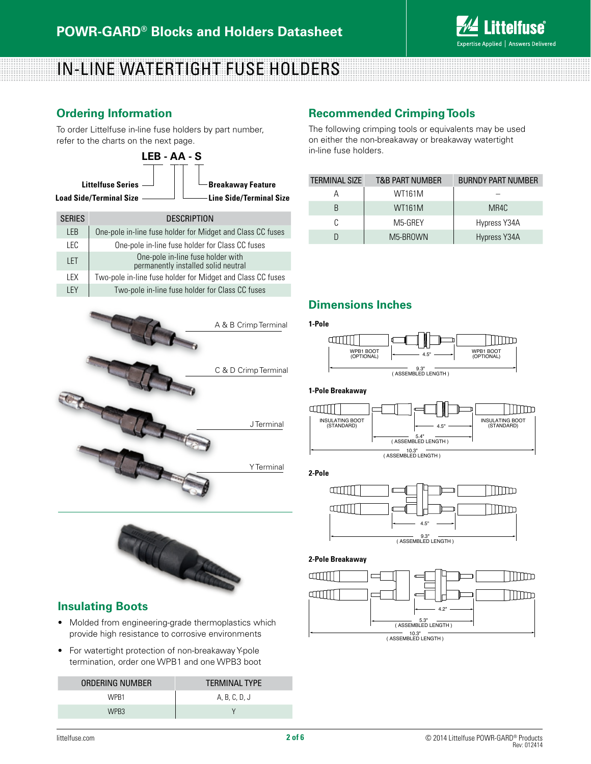

# in-line Watertight Fuse holders

### **Ordering Information**

To order Littelfuse in-line fuse holders by part number, refer to the charts on the next page.



| <b>SERIES</b> | <b>DESCRIPTION</b>                                                       |
|---------------|--------------------------------------------------------------------------|
| I FR          | One-pole in-line fuse holder for Midget and Class CC fuses               |
| IFC.          | One-pole in-line fuse holder for Class CC fuses                          |
| I FT          | One-pole in-line fuse holder with<br>permanently installed solid neutral |
| I FX          | Two-pole in-line fuse holder for Midget and Class CC fuses               |
| I FY          | Two-pole in-line fuse holder for Class CC fuses                          |





### **Insulating Boots**

- Molded from engineering-grade thermoplastics which provide high resistance to corrosive environments
- For watertight protection of non-breakaway Y-pole termination, order one WPB1 and one WPB3 boot

| ORDERING NUMBER | <b>TFRMINAI TYPF</b> |
|-----------------|----------------------|
| WPR1            | A, B, C, D, J        |
| WPR3            |                      |

### **Recommended Crimping Tools**

The following crimping tools or equivalents may be used on either the non-breakaway or breakaway watertight

| <b>TERMINAL SIZE</b> | <b>T&amp;B PART NUMBER</b> | <b>BURNDY PART NUMBER</b> |
|----------------------|----------------------------|---------------------------|
|                      | WT161M                     |                           |
|                      | <b>WT161M</b>              | MR4C                      |
|                      | M5-GREY                    | Hypress Y34A              |
|                      | M5-BROWN                   | Hypress Y34A              |

## **Dimensions Inches**

#### **1-Pole**



#### **1-Pole Breakaway**



**2-Pole**



#### **2-Pole Breakaway**

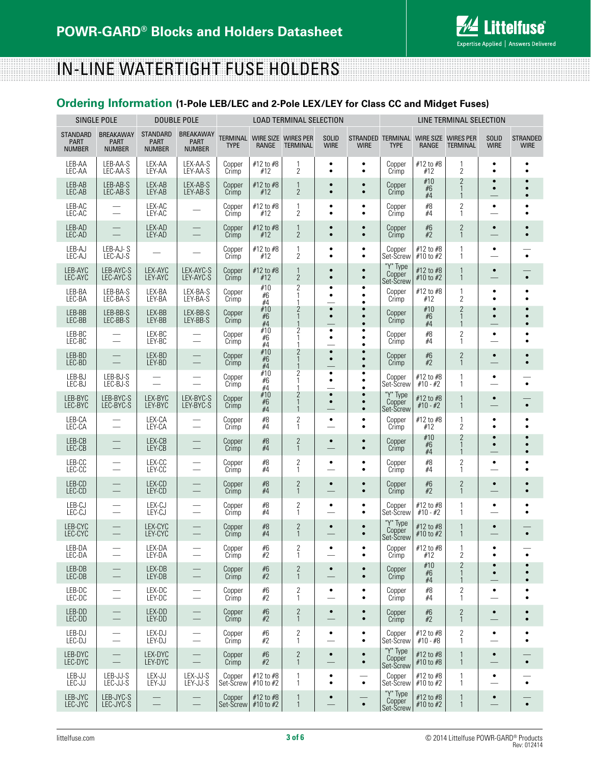

# in-line Watertight Fuse holders

## **Ordering Information (1-Pole LEB/LEC and 2-Pole LEX/LEY for Class CC and Midget Fuses)**

|                                                 | SINGLE POLE                                      |                                                 | <b>DOUBLE POLE</b>                        | <b>LOAD TERMINAL SELECTION</b> |                                              |                                                |                                       |                                     |                                                      | LINE TERMINAL SELECTION    |                                         |                                       |                                     |
|-------------------------------------------------|--------------------------------------------------|-------------------------------------------------|-------------------------------------------|--------------------------------|----------------------------------------------|------------------------------------------------|---------------------------------------|-------------------------------------|------------------------------------------------------|----------------------------|-----------------------------------------|---------------------------------------|-------------------------------------|
| <b>STANDARD</b><br><b>PART</b><br><b>NUMBER</b> | <b>BREAKAWAY</b><br><b>PART</b><br><b>NUMBER</b> | <b>STANDARD</b><br><b>PART</b><br><b>NUMBER</b> | <b>BREAKAWAY</b><br>PART<br><b>NUMBER</b> | <b>TYPE</b>                    | TERMINAL WIRE SIZE WIRES PER<br><b>RANGE</b> | <b>TERMINAL</b>                                | <b>SOLID</b><br><b>WIRE</b>           | <b>WIRE</b>                         | STRANDED TERMINAL WIRE SIZE WIRES PER<br><b>TYPE</b> | RANGE                      | <b>TERMINAL</b>                         | <b>SOLID</b><br><b>WIRE</b>           | <b>STRANDED</b><br><b>WIRE</b>      |
| LEB-AA<br>LEC-AA                                | LEB-AA-S<br>LEC-AA-S                             | LEX-AA<br>LEY-AA                                | LEX-AA-S<br>LEY-AA-S                      | Copper<br>Crimp                | #12 to #8<br>#12                             | 1<br>$\overline{2}$                            | $\bullet$<br>$\bullet$                | ٠<br>$\bullet$                      | Copper<br>Crimp                                      | #12 to #8<br>#12           | 1<br>$\overline{2}$                     | $\bullet$<br>$\bullet$                |                                     |
| LEB-AB<br>LEC-AB                                | LEB-AB-S<br>LEC-AB-S                             | LEX-AB<br>LEY-AB                                | LEX-AB-S<br>LEY-AB-S                      | Copper<br>Crimp                | #12 to #8<br>#12                             | $\mathbf{1}$<br>$\overline{2}$                 | $\bullet$                             | $\bullet$<br>$\bullet$              | Copper<br>Crimp                                      | #10<br>#6<br>#4            | $\overline{2}$<br>$\mathbf{1}$<br>1     | $\bullet$<br>$\bullet$                | $\bullet$<br>$\bullet$<br>$\bullet$ |
| LEB-AC<br>LEC-AC                                | $\overline{\phantom{0}}$                         | LEX-AC<br>LEY-AC                                |                                           | Copper<br>Crimp                | #12 to #8<br>#12                             | 1<br>$\overline{2}$                            | ٠<br>٠                                | ٠<br>$\bullet$                      | Copper<br>Crimp                                      | #8<br>#4                   | $\overline{c}$<br>1                     | $\bullet$                             | ٠<br>٠                              |
| LEB-AD<br>LEC-AD                                | $\overline{\phantom{0}}$                         | LEX-AD<br>LEY-AD                                | $\overline{\phantom{0}}$                  | Copper<br>Crimp                | #12 to #8<br>#12                             | $\mathbf{1}$<br>$\overline{2}$                 | $\bullet$<br>$\bullet$                | $\bullet$<br>$\bullet$              | Copper<br>Crimp                                      | #6<br>#2                   | $\overline{c}$<br>$\mathbf{1}$          | $\bullet$                             | $\bullet$<br>$\bullet$              |
| LEB-AJ<br>LEC-AJ                                | LEB-AJ-S<br>LEC-AJ-S                             |                                                 |                                           | Copper<br>Crimp                | #12 to #8<br>#12                             | 1<br>$\overline{2}$                            | $\bullet$<br>$\bullet$                | $\bullet$<br>$\bullet$              | Copper<br>Set-Screw                                  | #12 to #8<br>$#10$ to $#2$ | 1<br>1                                  | $\bullet$                             | $\bullet$                           |
| LEB-AYC<br>LEC-AYC                              | LEB-AYC-S<br>LEC-AYC-S                           | LEX-AYC<br>LEY-AYC                              | LEX-AYC-S<br>LEY-AYC-S                    | Copper<br>Crimp                | #12 to #8<br>#12                             | $\mathbf{1}$<br>$\overline{2}$                 | $\bullet$<br>$\bullet$                | $\bullet$<br>$\bullet$              | "Y" Type<br>Copper<br>Set-Screw                      | #12 to #8<br>#10 to #2     | 1<br>1                                  | $\bullet$                             | $\bullet$                           |
| LEB-BA<br>LEC-BA                                | LEB-BA-S<br>LEC-BA-S                             | LEX-BA<br>LEY-BA                                | LEX-BA-S<br>LEY-BA-S                      | Copper<br>Crimp                | #10<br>#6<br>#4                              | $\overline{2}$<br>1<br>1                       | ٠<br>$\bullet$                        | ٠<br>$\bullet$<br>$\bullet$         | Copper<br>Crimp                                      | #12 to #8<br>#12           | 1<br>2                                  | $\bullet$<br>٠                        | $\bullet$                           |
| LEB-BB<br>LEC-BB                                | LEB-BB-S<br>LEC-BB-S                             | LEX-BB<br>LEY-BB                                | LEX-BB-S<br>LEY-BB-S                      | Copper<br>Crimp                | #10<br>#6<br>#4                              | $\overline{2}$<br>$\mathbf{1}$                 | $\bullet$<br>$\bullet$                | $\bullet$<br>$\bullet$<br>$\bullet$ | Copper<br>Crimp                                      | #10<br>#6<br>#4            | $\overline{2}$<br>$\mathbf{1}$<br>1     | $\bullet$<br>$\bullet$                | $\bullet$                           |
| LEB-BC<br>LEC-BC                                | $\qquad \qquad$                                  | LEX-BC<br>LEY-BC                                | $\overline{\phantom{0}}$                  | Copper<br>Crimp                | #10<br>#6<br>#4                              | $\overline{2}$<br>$\mathbf{1}$                 | ٠<br>$\bullet$                        | ٠<br>$\bullet$<br>$\bullet$         | Copper<br>Crimp                                      | #8<br>#4                   | $\overline{2}$<br>1                     | $\bullet$                             |                                     |
| LEB-BD<br>LEC-BD                                | $\overline{\phantom{0}}$                         | LEX-BD<br>LEY-BD                                |                                           | Copper<br>Crimp                | #10<br>#6<br>#4                              | $\overline{2}$<br>1<br>$\mathbf{1}$            | $\bullet$<br>$\bullet$                | $\bullet$<br>$\bullet$<br>$\bullet$ | Copper<br>Crimp                                      | #6<br>#2                   | $\frac{2}{1}$                           | $\bullet$                             | $\bullet$<br>$\bullet$              |
| LEB-BJ<br>LEC-BJ                                | LEB-BJ-S<br>LEC-BJ-S                             |                                                 |                                           | Copper<br>Crimp                | #10<br>#6<br>#4                              | 2<br>1                                         | $\bullet$<br>$\bullet$                | ٠<br>$\bullet$<br>$\bullet$         | Copper<br>Set-Screw                                  | #12 to #8<br>$#10 - #2$    | 1<br>1                                  | ٠                                     | $\bullet$                           |
| LEB-BYC<br>LEC-BYC                              | LEB-BYC-S<br>LEC-BYC-S                           | LEX-BYC<br>LEY-BYC                              | LEX-BYC-S<br>LEY-BYC-S                    | Copper<br>Crimp                | #10<br>#6<br>#4                              | $\overline{2}$<br>$\mathbf{1}$<br>$\mathbf{1}$ | $\bullet$<br>$\bullet$                | $\bullet$<br>$\bullet$<br>$\bullet$ | "Y" Type<br>Copper<br>Set-Screw                      | #12 to #8<br>$#10 - #2$    | 1<br>$\mathbf{1}$                       | $\bullet$                             | $\bullet$                           |
| LEB-CA<br>LEC-CA                                | $\overline{\phantom{0}}$                         | LEX-CA<br>LEY-CA                                | $\overline{\phantom{0}}$                  | Copper<br>Crimp                | #8<br>#4                                     | $\overline{2}$<br>1                            | $\bullet$                             | $\bullet$<br>$\bullet$              | Copper<br>Crimp                                      | #12 to #8<br>#12           | 1<br>$\overline{2}$                     | $\bullet$<br>$\bullet$                | $\bullet$                           |
| LEB-CB<br>LEC-CB                                | $\equiv$                                         | LEX-CB<br>LEY-CB                                |                                           | Copper<br>Crimp                | $\#8$<br>#4                                  | $\mathbf{2}$<br>$\mathbf{1}$                   | $\bullet$                             | $\bullet$<br>$\bullet$              | Copper<br>Crimp                                      | #10<br>#6<br>#4            | 2<br>$\mathbf{1}$                       | $\bullet$<br>$\bullet$                | $\bullet$<br>$\bullet$              |
| LEB-CC<br>LEC-CC                                | $\overline{\phantom{0}}$                         | LEX-CC<br>LEY-CC                                | $\overline{\phantom{0}}$                  | Copper<br>Crimp                | #8<br>#4                                     | $\overline{c}$<br>$\mathbf{1}$                 | ٠                                     | ٠<br>$\bullet$                      | Copper<br>Crimp                                      | #8<br>#4                   | 2<br>1                                  | $\bullet$                             | $\bullet$                           |
| LEB-CD<br>LEC-CD                                |                                                  | LEX-CD<br>LEY-CD                                | $\overline{\phantom{0}}$                  | Copper<br>Crimp                | #8<br>#4                                     | $\overline{2}$<br>$\mathbf{1}$                 | $\bullet$                             | $\bullet$<br>$\bullet$              | Copper<br>Crimp                                      | #6<br>#2                   | $\overline{\mathbf{c}}$<br>$\mathbf{1}$ | $\bullet$                             | $\bullet$<br>$\bullet$              |
| LEB-CJ<br>LEC-CJ                                | $\overline{\phantom{0}}$                         | LEX-CJ<br>LEY-CJ                                | $\overline{\phantom{0}}$                  | Copper<br>Crimp                | #8<br>#4                                     | $\sqrt{2}$<br>$\mathbf{1}$                     | $\bullet$                             | $\bullet$<br>$\bullet$              | Copper<br>Set-Screw                                  | #12 to #8<br>$#10 - #2$    | 1<br>1                                  | $\bullet$                             | $\bullet$                           |
| LEB-CYC<br>LEC-CYC                              |                                                  | LEX-CYC<br>LEY-CYC                              |                                           | Copper<br>Crimp                | #8<br>#4                                     | $\overline{2}$<br>$\mathbf{1}$                 | $\bullet$                             | $\bullet$<br>$\bullet$              | "Y" Type<br>Copper<br>Set-Screw                      | #12 to #8<br>#10 to #2     | 1<br>$\mathbf{1}$                       | $\bullet$                             | $\bullet$                           |
| LEB-DA<br>LEC-DA                                |                                                  | LEX-DA<br>LEY-DA                                |                                           | Copper<br>Crimp                | #6<br>#2                                     | $\overline{c}$<br>1                            |                                       | ٠                                   | Copper<br>Crimp                                      | #12 to #8<br>#12           | $\overline{2}$                          | ٠                                     |                                     |
| LEB-DB<br>LEC-DB                                | $\qquad \qquad -$                                | LEX-DB<br>LEY-DB                                |                                           | Copper<br>Crimp                | #6<br>#2                                     | $\overline{2}$<br>$\mathbf{1}$                 | $\bullet$                             | $\bullet$<br>$\bullet$              | Copper<br>Crimp                                      | #10<br>#6<br>#4            | $\overline{2}$<br>$\mathbf{1}$<br>1     | $\bullet$<br>$\bullet$                | $\bullet$<br>$\bullet$              |
| LEB-DC<br>LEC-DC                                | —<br>$\overline{\phantom{0}}$                    | LEX-DC<br>LEY-DC                                | $\overline{\phantom{0}}$                  | Copper<br>Crimp                | #6<br>#2                                     | $\overline{2}$<br>$\mathbf{1}$                 | $\bullet$<br>$\overline{\phantom{0}}$ | $\bullet$<br>$\bullet$              | Copper<br>Crimp                                      | #8<br>#4                   | $\overline{2}$<br>1                     | $\bullet$                             | ٠<br>$\bullet$                      |
| LEB-DD<br>LEC-DD                                | $\equiv$                                         | LEX-DD<br>LEY-DD                                | $\equiv$                                  | Copper<br>Crimp                | $\#6$<br>#2                                  | $\mathbf{2}$<br>$\mathbf{1}$                   | $\bullet$                             | $\bullet$<br>$\bullet$              | Copper<br>Crimp                                      | #6<br>#2                   | $\mathbf{2}$<br>$\mathbf{1}$            | $\bullet$                             | $\bullet$<br>$\bullet$              |
| LEB-DJ<br>LEC-DJ                                | $\overline{\phantom{0}}$                         | LEX-DJ<br>LEY-DJ                                |                                           | Copper<br>Crimp                | #6<br>#2                                     | 2<br>1                                         | $\bullet$<br>$\overline{\phantom{0}}$ | ٠<br>$\bullet$                      | Copper<br>Set-Screw                                  | #12 to #8<br>$#10 - #8$    | 2<br>$\mathbf{1}$                       | $\bullet$<br>$\overline{\phantom{a}}$ | $\bullet$<br>$\bullet$              |
| LEB-DYC<br>LEC-DYC                              |                                                  | LEX-DYC<br>LEY-DYC                              | $\equiv$                                  | Copper<br>Crimp                | #6<br>#2                                     | 2<br>$\mathbf{1}$                              | $\bullet$                             | $\bullet$<br>$\bullet$              | "Y" Type<br>Copper<br>Set-Screw                      | #12 to #8<br>#10 to #8     | 1<br>$\mathbf{1}$                       | $\bullet$                             | $\bullet$                           |
| LEB-JJ<br>LEC-JJ                                | LEB-JJ-S<br>LEC-JJ-S                             | LEX-JJ<br>LEY-JJ                                | LEX-JJ-S<br>LEY-JJ-S                      | Copper<br>Set-Screw            | #12 to #8<br>#10 to #2                       | $\mathbf{1}$<br>1                              | ٠<br>$\bullet$                        | $\bullet$                           | Copper<br>Set-Screw                                  | #12 to #8<br>#10 to #2     | 1<br>1                                  | $\bullet$                             | $\bullet$                           |
| LEB-JYC<br>LEC-JYC                              | LEB-JYC-S<br>LEC-JYC-S                           |                                                 |                                           | Copper<br>Set-Screw            | #12 to #8<br>#10 to #2                       | $\mathbf{1}$<br>$\mathbf{1}$                   | $\bullet$                             | $\bullet$                           | "Y" Type<br>Copper<br>Set-Screw                      | #12 to #8<br>#10 to #2     | 1<br>$\mathbf{1}$                       | $\bullet$                             | $\bullet$                           |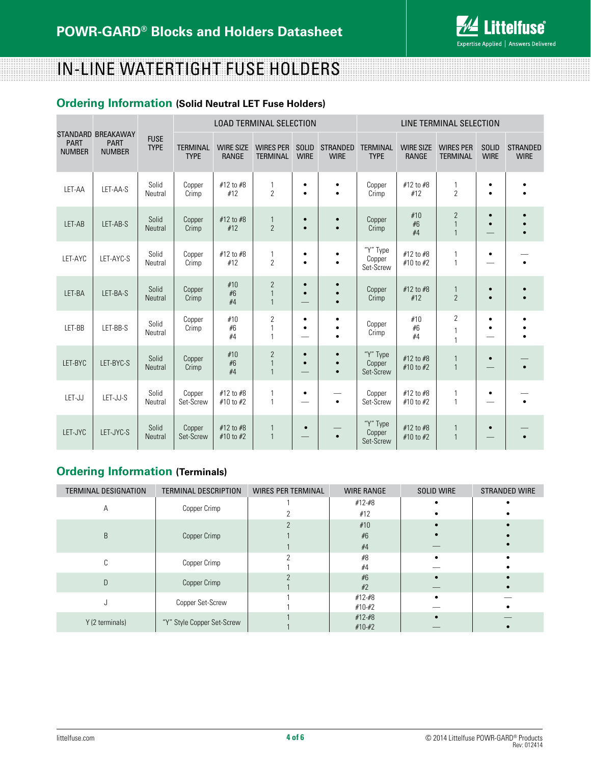

# in-line Watertight Fuse holders

## **Ordering Information (Solid Neutral LET Fuse Holders)**

|                              |                                                    |                            | LOAD TERMINAL SELECTION        |                                  |                                                  |                             |                                     | LINE TERMINAL SELECTION         |                                  |                                                |                             |                                |
|------------------------------|----------------------------------------------------|----------------------------|--------------------------------|----------------------------------|--------------------------------------------------|-----------------------------|-------------------------------------|---------------------------------|----------------------------------|------------------------------------------------|-----------------------------|--------------------------------|
| <b>PART</b><br><b>NUMBER</b> | STANDARD BREAKAWAY<br><b>PART</b><br><b>NUMBER</b> | <b>FUSE</b><br><b>TYPE</b> | <b>TERMINAL</b><br><b>TYPE</b> | <b>WIRE SIZE</b><br><b>RANGE</b> | <b>WIRES PER</b><br><b>TERMINAL</b>              | <b>SOLID</b><br><b>WIRE</b> | <b>STRANDED</b><br><b>WIRE</b>      | <b>TERMINAL</b><br><b>TYPE</b>  | <b>WIRE SIZE</b><br><b>RANGE</b> | <b>WIRES PER</b><br><b>TERMINAL</b>            | <b>SOLID</b><br><b>WIRE</b> | <b>STRANDED</b><br><b>WIRE</b> |
| LET-AA                       | LET-AA-S                                           | Solid<br>Neutral           | Copper<br>Crimp                | #12 to #8<br>#12                 | 1<br>$\overline{2}$                              | ٠<br>٠                      | $\bullet$<br>$\bullet$              | Copper<br>Crimp                 | #12 to #8<br>#12                 | 1<br>$\overline{2}$                            | $\bullet$<br>$\bullet$      |                                |
| LET-AB                       | LET-AB-S                                           | Solid<br>Neutral           | Copper<br>Crimp                | #12 to #8<br>#12                 | $\mathbf{1}$<br>$\overline{2}$                   | $\bullet$<br>$\bullet$      | $\bullet$<br>$\bullet$              | Copper<br>Crimp                 | #10<br>#6<br>#4                  | $\overline{2}$<br>$\mathbf{1}$<br>$\mathbf{1}$ | $\bullet$                   |                                |
| LET-AYC                      | LET-AYC-S                                          | Solid<br>Neutral           | Copper<br>Crimp                | #12 to #8<br>#12                 | 1<br>$\overline{2}$                              | $\bullet$<br>$\bullet$      | ٠<br>$\bullet$                      | "Y" Type<br>Copper<br>Set-Screw | #12 to #8<br>#10 to #2           | 1<br>1                                         | $\bullet$                   |                                |
| LET-BA                       | LET-BA-S                                           | Solid<br>Neutral           | Copper<br>Crimp                | #10<br>#6<br>#4                  | $\overline{2}$<br>$\overline{1}$<br>$\mathbf{1}$ | $\bullet$<br>$\bullet$      | $\bullet$                           | Copper<br>Crimp                 | #12 to #8<br>#12                 | $\mathbf{1}$<br>$\overline{2}$                 | $\bullet$<br>$\bullet$      |                                |
| LET-BB                       | LET-BB-S                                           | Solid<br>Neutral           | Copper<br>Crimp                | #10<br>#6<br>#4                  | $\overline{c}$<br>$\mathbf{1}$<br>1              | $\bullet$<br>$\bullet$      | ٠<br>$\bullet$                      | Copper<br>Crimp                 | #10<br>#6<br>#4                  | $\overline{2}$<br>1<br>$\mathbf{1}$            | $\bullet$<br>$\bullet$      |                                |
| LET-BYC                      | LET-BYC-S                                          | Solid<br>Neutral           | Copper<br>Crimp                | #10<br>#6<br>#4                  | $\overline{2}$<br>$\mathbf{1}$<br>$\mathbf{1}$   | $\bullet$<br>$\bullet$      | $\bullet$<br>$\bullet$<br>$\bullet$ | "Y" Type<br>Copper<br>Set-Screw | #12 to #8<br>#10 to #2           | $\mathbf{1}$<br>$\mathbf{1}$                   | $\bullet$                   |                                |
| LET-JJ                       | LET-JJ-S                                           | Solid<br>Neutral           | Copper<br>Set-Screw            | #12 to #8<br>#10 to #2           | 1<br>$\mathbf{1}$                                | ٠                           | $\bullet$                           | Copper<br>Set-Screw             | #12 to #8<br>#10 to #2           | 1<br>$\mathbf{1}$                              | $\bullet$                   |                                |
| LET-JYC                      | LET-JYC-S                                          | Solid<br>Neutral           | Copper<br>Set-Screw            | #12 to #8<br>#10 to #2           | $\mathbf{1}$<br>$\mathbf{1}$                     | $\bullet$                   |                                     | "Y" Type<br>Copper<br>Set-Screw | #12 to #8<br>#10 to #2           | $\mathbf{1}$<br>$\mathbf{1}$                   |                             |                                |

## **Ordering Information (Terminals)**

| <b>TERMINAL DESIGNATION</b> | TERMINAL DESCRIPTION       | <b>WIRES PER TERMINAL</b> | <b>WIRE RANGE</b> | <b>SOLID WIRE</b> | <b>STRANDED WIRE</b> |
|-----------------------------|----------------------------|---------------------------|-------------------|-------------------|----------------------|
|                             | Copper Crimp               |                           | $#12 - #8$        |                   |                      |
| Α                           |                            |                           | #12               |                   |                      |
|                             |                            |                           | #10               |                   |                      |
| B                           | Copper Crimp               |                           | #6                |                   |                      |
|                             |                            |                           |                   |                   |                      |
|                             | Copper Crimp               | #8                        |                   |                   |                      |
|                             |                            |                           | #4                |                   |                      |
| D                           | Copper Crimp               |                           | #6                |                   |                      |
|                             |                            |                           | #2                |                   |                      |
|                             | Copper Set-Screw           |                           | $#12 - #8$        |                   |                      |
|                             |                            |                           | $#10 - #2$        |                   |                      |
| Y (2 terminals)             | "Y" Style Copper Set-Screw |                           | #12-#8            |                   |                      |
|                             |                            |                           | $#10 - #2$        |                   |                      |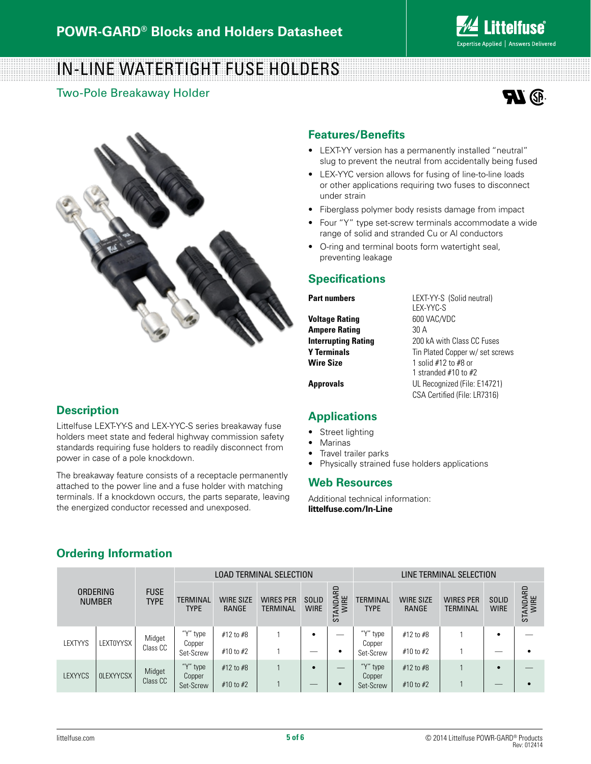

# In-Line Watertight Fuse holders

Two-Pole Breakaway Holder





### **Description**

Littelfuse LEXT-YY-S and LEX-YYC-S series breakaway fuse holders meet state and federal highway commission safety standards requiring fuse holders to readily disconnect from power in case of a pole knockdown.

The breakaway feature consists of a receptacle permanently attached to the power line and a fuse holder with matching terminals. If a knockdown occurs, the parts separate, leaving the energized conductor recessed and unexposed.

### **Features/Benefits**

- LEXT-YY version has a permanently installed "neutral" slug to prevent the neutral from accidentally being fused
- • LEX-YYC version allows for fusing of line-to-line loads or other applications requiring two fuses to disconnect under strain
- Fiberglass polymer body resists damage from impact
- Four "Y" type set-screw terminals accommodate a wide range of solid and stranded Cu or Al conductors
- • O-ring and terminal boots form watertight seal, preventing leakage

### **Specifications**

**Voltage Rating 600 VAC/VDC Ampere Rating 30 A Interrupting Rating 200 kA with Class CC Fuses Wire Size** 1 solid #12 to #8 or

**Part numbers** LEXT-YY-S (Solid neutral) LEX-YYC-S **Y Terminals Tin Plated Copper w/ set screws** 1 stranded #10 to #2 **Approvals** UL Recognized (File: E14721) CSA Certified (File: LR7316)

### **Applications**

- Street lighting
- **Marinas**
- Travel trailer parks
- Physically strained fuse holders applications

### **Web Resources**

Additional technical information: **littelfuse.com/In-Line**

# **Ordering Information**

|                |                                  |                            |                         |                           | LOAD TERMINAL SELECTION |                             | LINE TERMINAL SELECTION    |                                 |                           |                                     |                             |                  |
|----------------|----------------------------------|----------------------------|-------------------------|---------------------------|-------------------------|-----------------------------|----------------------------|---------------------------------|---------------------------|-------------------------------------|-----------------------------|------------------|
|                | <b>ORDERING</b><br><b>NUMBER</b> | <b>FUSE</b><br><b>TYPE</b> | TERMINAL<br><b>TYPE</b> | <b>WIRE SIZE</b><br>RANGE | WIRES PER<br>TERMINAL   | <b>SOLID</b><br><b>WIRE</b> | ARD<br>ANDAI<br>WIRE<br>55 | <b>TERMINAL</b><br><b>TYPE</b>  | <b>WIRE SIZE</b><br>RANGE | <b>WIRES PER</b><br><b>TERMINAL</b> | <b>SOLID</b><br><b>WIRE</b> | STANDARD<br>WIRE |
| <b>LEXTYYS</b> | <b>LEXTOYYSX</b>                 | Midget<br>Class CC         | ''V''<br>type<br>Copper | #12 to #8                 |                         | ٠                           | __                         | " <sup>v</sup> " type<br>Copper | #12 to #8                 |                                     |                             |                  |
|                |                                  |                            | Set-Screw               | #10 to #2                 |                         | __                          | ٠                          | Set-Screw                       | #10 to #2                 |                                     | $\overline{\phantom{a}}$    | ٠                |
| <b>LEXYYCS</b> | <b>OLEXYYCSX</b>                 | Midget                     | "V" type<br>Copper      | $#12$ to $#8$             |                         | $\bullet$                   | _                          | ''V''<br>type<br>Copper         | $#12$ to $#8$             |                                     |                             |                  |
|                |                                  | Class CC                   | Set-Screw               | $#10$ to $#2$             |                         | __                          |                            | Set-Screw                       | $\#10$ to $\#2$           |                                     | $\overline{\phantom{a}}$    | $\epsilon$       |